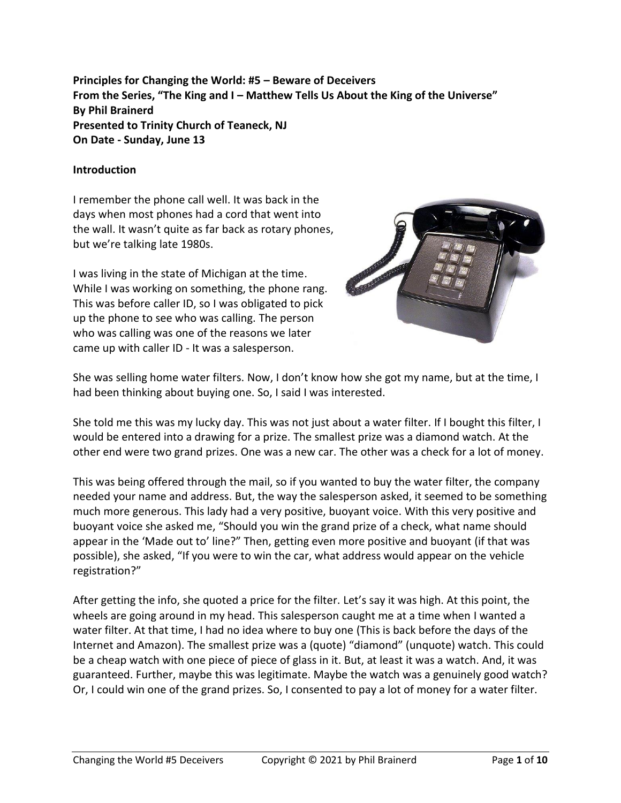**Principles for Changing the World: #5 – Beware of Deceivers From the Series, "The King and I – Matthew Tells Us About the King of the Universe" By Phil Brainerd Presented to Trinity Church of Teaneck, NJ On Date - Sunday, June 13**

#### **Introduction**

I remember the phone call well. It was back in the days when most phones had a cord that went into the wall. It wasn't quite as far back as rotary phones, but we're talking late 1980s.

I was living in the state of Michigan at the time. While I was working on something, the phone rang. This was before caller ID, so I was obligated to pick up the phone to see who was calling. The person who was calling was one of the reasons we later came up with caller ID - It was a salesperson.



She was selling home water filters. Now, I don't know how she got my name, but at the time, I had been thinking about buying one. So, I said I was interested.

She told me this was my lucky day. This was not just about a water filter. If I bought this filter, I would be entered into a drawing for a prize. The smallest prize was a diamond watch. At the other end were two grand prizes. One was a new car. The other was a check for a lot of money.

This was being offered through the mail, so if you wanted to buy the water filter, the company needed your name and address. But, the way the salesperson asked, it seemed to be something much more generous. This lady had a very positive, buoyant voice. With this very positive and buoyant voice she asked me, "Should you win the grand prize of a check, what name should appear in the 'Made out to' line?" Then, getting even more positive and buoyant (if that was possible), she asked, "If you were to win the car, what address would appear on the vehicle registration?"

After getting the info, she quoted a price for the filter. Let's say it was high. At this point, the wheels are going around in my head. This salesperson caught me at a time when I wanted a water filter. At that time, I had no idea where to buy one (This is back before the days of the Internet and Amazon). The smallest prize was a (quote) "diamond" (unquote) watch. This could be a cheap watch with one piece of piece of glass in it. But, at least it was a watch. And, it was guaranteed. Further, maybe this was legitimate. Maybe the watch was a genuinely good watch? Or, I could win one of the grand prizes. So, I consented to pay a lot of money for a water filter.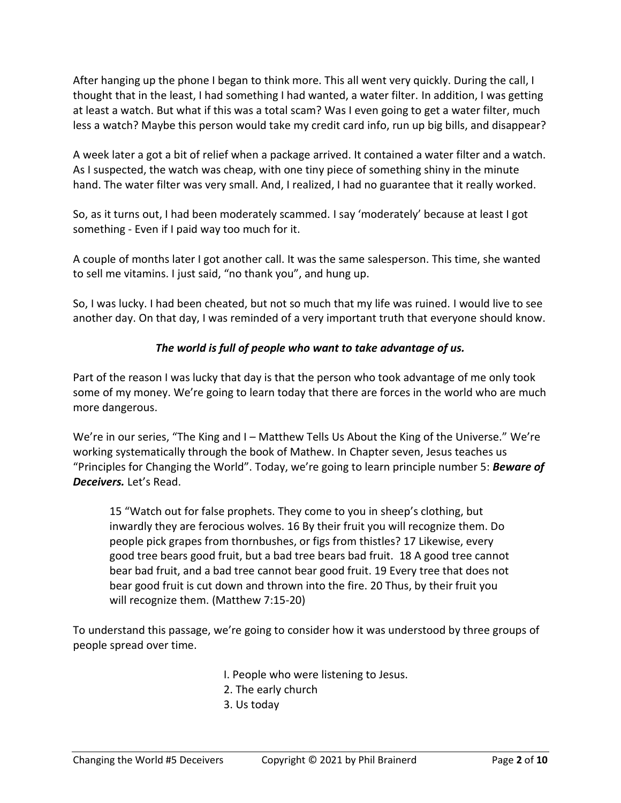After hanging up the phone I began to think more. This all went very quickly. During the call, I thought that in the least, I had something I had wanted, a water filter. In addition, I was getting at least a watch. But what if this was a total scam? Was I even going to get a water filter, much less a watch? Maybe this person would take my credit card info, run up big bills, and disappear?

A week later a got a bit of relief when a package arrived. It contained a water filter and a watch. As I suspected, the watch was cheap, with one tiny piece of something shiny in the minute hand. The water filter was very small. And, I realized, I had no guarantee that it really worked.

So, as it turns out, I had been moderately scammed. I say 'moderately' because at least I got something - Even if I paid way too much for it.

A couple of months later I got another call. It was the same salesperson. This time, she wanted to sell me vitamins. I just said, "no thank you", and hung up.

So, I was lucky. I had been cheated, but not so much that my life was ruined. I would live to see another day. On that day, I was reminded of a very important truth that everyone should know.

# *The world is full of people who want to take advantage of us.*

Part of the reason I was lucky that day is that the person who took advantage of me only took some of my money. We're going to learn today that there are forces in the world who are much more dangerous.

We're in our series, "The King and I – Matthew Tells Us About the King of the Universe." We're working systematically through the book of Mathew. In Chapter seven, Jesus teaches us "Principles for Changing the World". Today, we're going to learn principle number 5: *Beware of Deceivers.* Let's Read.

15 "Watch out for false prophets. They come to you in sheep's clothing, but inwardly they are ferocious wolves. 16 By their fruit you will recognize them. Do people pick grapes from thornbushes, or figs from thistles? 17 Likewise, every good tree bears good fruit, but a bad tree bears bad fruit. 18 A good tree cannot bear bad fruit, and a bad tree cannot bear good fruit. 19 Every tree that does not bear good fruit is cut down and thrown into the fire. 20 Thus, by their fruit you will recognize them. (Matthew 7:15-20)

To understand this passage, we're going to consider how it was understood by three groups of people spread over time.

I. People who were listening to Jesus.

- 2. The early church
- 3. Us today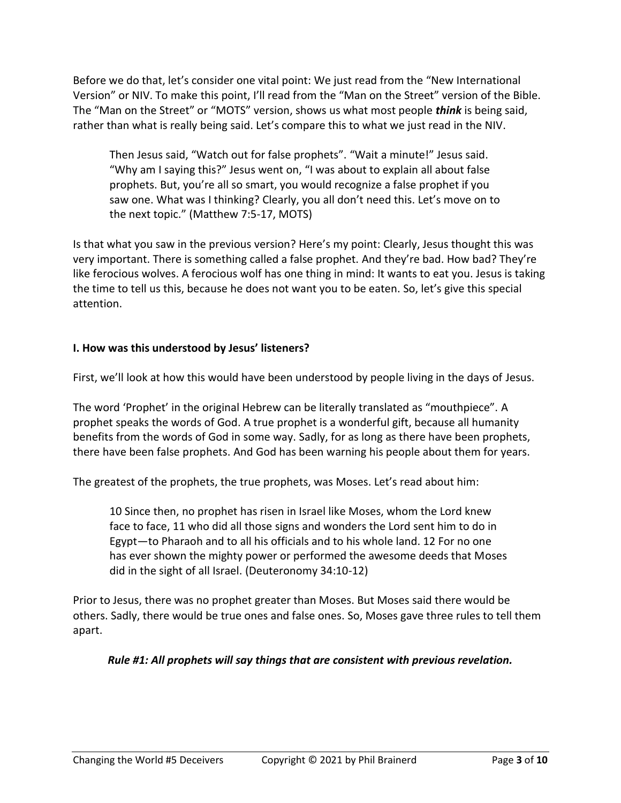Before we do that, let's consider one vital point: We just read from the "New International Version" or NIV. To make this point, I'll read from the "Man on the Street" version of the Bible. The "Man on the Street" or "MOTS" version, shows us what most people *think* is being said, rather than what is really being said. Let's compare this to what we just read in the NIV.

Then Jesus said, "Watch out for false prophets". "Wait a minute!" Jesus said. "Why am I saying this?" Jesus went on, "I was about to explain all about false prophets. But, you're all so smart, you would recognize a false prophet if you saw one. What was I thinking? Clearly, you all don't need this. Let's move on to the next topic." (Matthew 7:5-17, MOTS)

Is that what you saw in the previous version? Here's my point: Clearly, Jesus thought this was very important. There is something called a false prophet. And they're bad. How bad? They're like ferocious wolves. A ferocious wolf has one thing in mind: It wants to eat you. Jesus is taking the time to tell us this, because he does not want you to be eaten. So, let's give this special attention.

# **I. How was this understood by Jesus' listeners?**

First, we'll look at how this would have been understood by people living in the days of Jesus.

The word 'Prophet' in the original Hebrew can be literally translated as "mouthpiece". A prophet speaks the words of God. A true prophet is a wonderful gift, because all humanity benefits from the words of God in some way. Sadly, for as long as there have been prophets, there have been false prophets. And God has been warning his people about them for years.

The greatest of the prophets, the true prophets, was Moses. Let's read about him:

10 Since then, no prophet has risen in Israel like Moses, whom the Lord knew face to face, 11 who did all those signs and wonders the Lord sent him to do in Egypt—to Pharaoh and to all his officials and to his whole land. 12 For no one has ever shown the mighty power or performed the awesome deeds that Moses did in the sight of all Israel. (Deuteronomy 34:10-12)

Prior to Jesus, there was no prophet greater than Moses. But Moses said there would be others. Sadly, there would be true ones and false ones. So, Moses gave three rules to tell them apart.

## *Rule #1: All prophets will say things that are consistent with previous revelation.*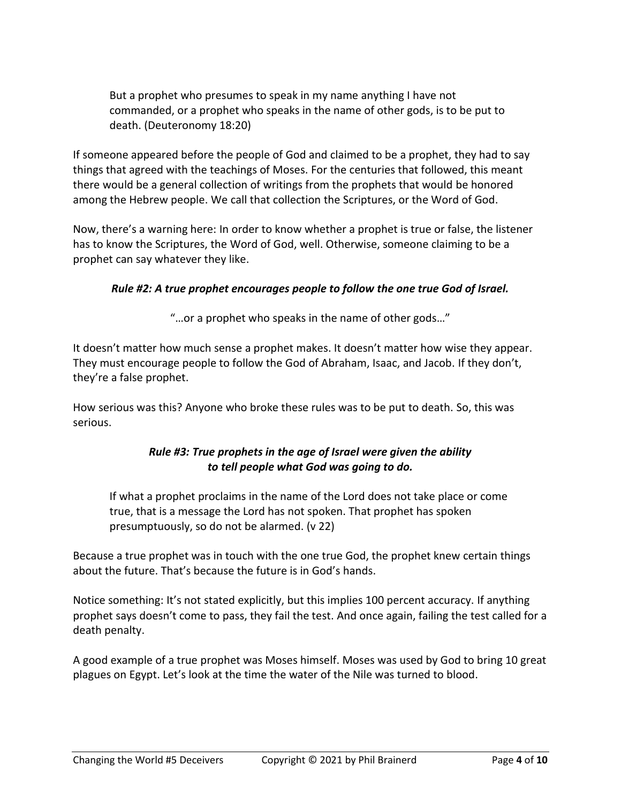But a prophet who presumes to speak in my name anything I have not commanded, or a prophet who speaks in the name of other gods, is to be put to death. (Deuteronomy 18:20)

If someone appeared before the people of God and claimed to be a prophet, they had to say things that agreed with the teachings of Moses. For the centuries that followed, this meant there would be a general collection of writings from the prophets that would be honored among the Hebrew people. We call that collection the Scriptures, or the Word of God.

Now, there's a warning here: In order to know whether a prophet is true or false, the listener has to know the Scriptures, the Word of God, well. Otherwise, someone claiming to be a prophet can say whatever they like.

# *Rule #2: A true prophet encourages people to follow the one true God of Israel.*

"…or a prophet who speaks in the name of other gods…"

It doesn't matter how much sense a prophet makes. It doesn't matter how wise they appear. They must encourage people to follow the God of Abraham, Isaac, and Jacob. If they don't, they're a false prophet.

How serious was this? Anyone who broke these rules was to be put to death. So, this was serious.

## *Rule #3: True prophets in the age of Israel were given the ability to tell people what God was going to do.*

If what a prophet proclaims in the name of the Lord does not take place or come true, that is a message the Lord has not spoken. That prophet has spoken presumptuously, so do not be alarmed. (v 22)

Because a true prophet was in touch with the one true God, the prophet knew certain things about the future. That's because the future is in God's hands.

Notice something: It's not stated explicitly, but this implies 100 percent accuracy. If anything prophet says doesn't come to pass, they fail the test. And once again, failing the test called for a death penalty.

A good example of a true prophet was Moses himself. Moses was used by God to bring 10 great plagues on Egypt. Let's look at the time the water of the Nile was turned to blood.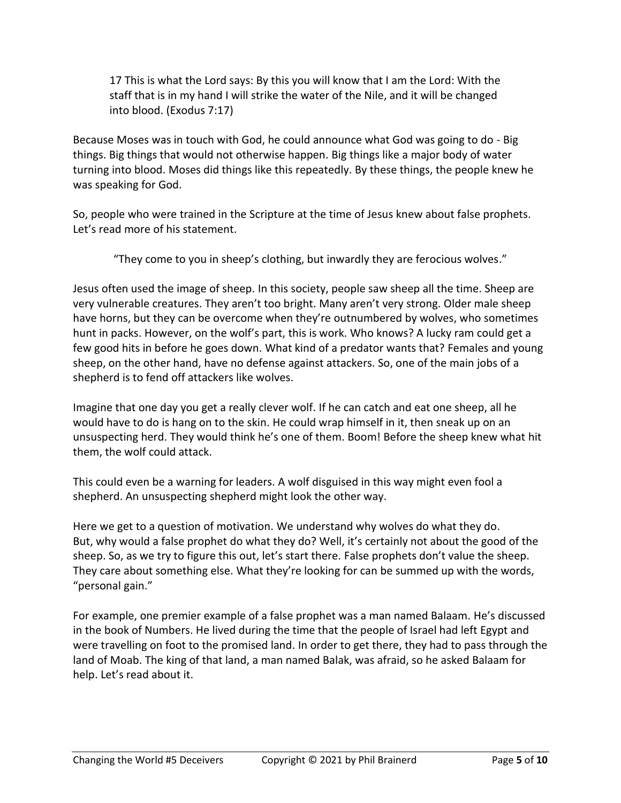17 This is what the Lord says: By this you will know that I am the Lord: With the staff that is in my hand I will strike the water of the Nile, and it will be changed into blood. (Exodus 7:17)

Because Moses was in touch with God, he could announce what God was going to do - Big things. Big things that would not otherwise happen. Big things like a major body of water turning into blood. Moses did things like this repeatedly. By these things, the people knew he was speaking for God.

So, people who were trained in the Scripture at the time of Jesus knew about false prophets. Let's read more of his statement.

"They come to you in sheep's clothing, but inwardly they are ferocious wolves."

Jesus often used the image of sheep. In this society, people saw sheep all the time. Sheep are very vulnerable creatures. They aren't too bright. Many aren't very strong. Older male sheep have horns, but they can be overcome when they're outnumbered by wolves, who sometimes hunt in packs. However, on the wolf's part, this is work. Who knows? A lucky ram could get a few good hits in before he goes down. What kind of a predator wants that? Females and young sheep, on the other hand, have no defense against attackers. So, one of the main jobs of a shepherd is to fend off attackers like wolves.

Imagine that one day you get a really clever wolf. If he can catch and eat one sheep, all he would have to do is hang on to the skin. He could wrap himself in it, then sneak up on an unsuspecting herd. They would think he's one of them. Boom! Before the sheep knew what hit them, the wolf could attack.

This could even be a warning for leaders. A wolf disguised in this way might even fool a shepherd. An unsuspecting shepherd might look the other way.

Here we get to a question of motivation. We understand why wolves do what they do. But, why would a false prophet do what they do? Well, it's certainly not about the good of the sheep. So, as we try to figure this out, let's start there. False prophets don't value the sheep. They care about something else. What they're looking for can be summed up with the words, "personal gain."

For example, one premier example of a false prophet was a man named Balaam. He's discussed in the book of Numbers. He lived during the time that the people of Israel had left Egypt and were travelling on foot to the promised land. In order to get there, they had to pass through the land of Moab. The king of that land, a man named Balak, was afraid, so he asked Balaam for help. Let's read about it.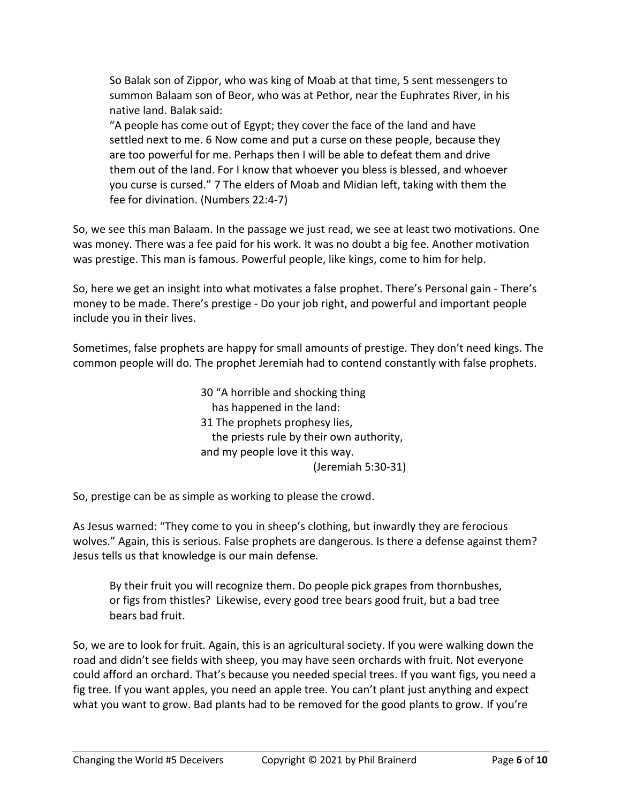So Balak son of Zippor, who was king of Moab at that time, 5 sent messengers to summon Balaam son of Beor, who was at Pethor, near the Euphrates River, in his native land. Balak said:

"A people has come out of Egypt; they cover the face of the land and have settled next to me. 6 Now come and put a curse on these people, because they are too powerful for me. Perhaps then I will be able to defeat them and drive them out of the land. For I know that whoever you bless is blessed, and whoever you curse is cursed." 7 The elders of Moab and Midian left, taking with them the fee for divination. (Numbers 22:4-7)

So, we see this man Balaam. In the passage we just read, we see at least two motivations. One was money. There was a fee paid for his work. It was no doubt a big fee. Another motivation was prestige. This man is famous. Powerful people, like kings, come to him for help.

So, here we get an insight into what motivates a false prophet. There's Personal gain - There's money to be made. There's prestige - Do your job right, and powerful and important people include you in their lives.

Sometimes, false prophets are happy for small amounts of prestige. They don't need kings. The common people will do. The prophet Jeremiah had to contend constantly with false prophets.

> 30 "A horrible and shocking thing has happened in the land: 31 The prophets prophesy lies, the priests rule by their own authority, and my people love it this way. (Jeremiah 5:30-31)

So, prestige can be as simple as working to please the crowd.

As Jesus warned: "They come to you in sheep's clothing, but inwardly they are ferocious wolves." Again, this is serious. False prophets are dangerous. Is there a defense against them? Jesus tells us that knowledge is our main defense.

By their fruit you will recognize them. Do people pick grapes from thornbushes, or figs from thistles? Likewise, every good tree bears good fruit, but a bad tree bears bad fruit.

So, we are to look for fruit. Again, this is an agricultural society. If you were walking down the road and didn't see fields with sheep, you may have seen orchards with fruit. Not everyone could afford an orchard. That's because you needed special trees. If you want figs, you need a fig tree. If you want apples, you need an apple tree. You can't plant just anything and expect what you want to grow. Bad plants had to be removed for the good plants to grow. If you're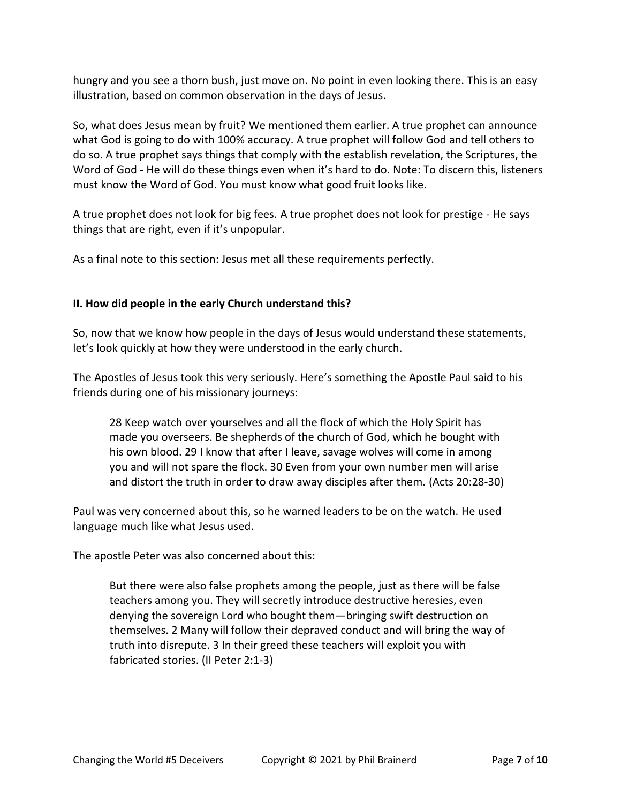hungry and you see a thorn bush, just move on. No point in even looking there. This is an easy illustration, based on common observation in the days of Jesus.

So, what does Jesus mean by fruit? We mentioned them earlier. A true prophet can announce what God is going to do with 100% accuracy. A true prophet will follow God and tell others to do so. A true prophet says things that comply with the establish revelation, the Scriptures, the Word of God - He will do these things even when it's hard to do. Note: To discern this, listeners must know the Word of God. You must know what good fruit looks like.

A true prophet does not look for big fees. A true prophet does not look for prestige - He says things that are right, even if it's unpopular.

As a final note to this section: Jesus met all these requirements perfectly.

## **II. How did people in the early Church understand this?**

So, now that we know how people in the days of Jesus would understand these statements, let's look quickly at how they were understood in the early church.

The Apostles of Jesus took this very seriously. Here's something the Apostle Paul said to his friends during one of his missionary journeys:

28 Keep watch over yourselves and all the flock of which the Holy Spirit has made you overseers. Be shepherds of the church of God, which he bought with his own blood. 29 I know that after I leave, savage wolves will come in among you and will not spare the flock. 30 Even from your own number men will arise and distort the truth in order to draw away disciples after them. (Acts 20:28-30)

Paul was very concerned about this, so he warned leaders to be on the watch. He used language much like what Jesus used.

The apostle Peter was also concerned about this:

But there were also false prophets among the people, just as there will be false teachers among you. They will secretly introduce destructive heresies, even denying the sovereign Lord who bought them—bringing swift destruction on themselves. 2 Many will follow their depraved conduct and will bring the way of truth into disrepute. 3 In their greed these teachers will exploit you with fabricated stories. (II Peter 2:1-3)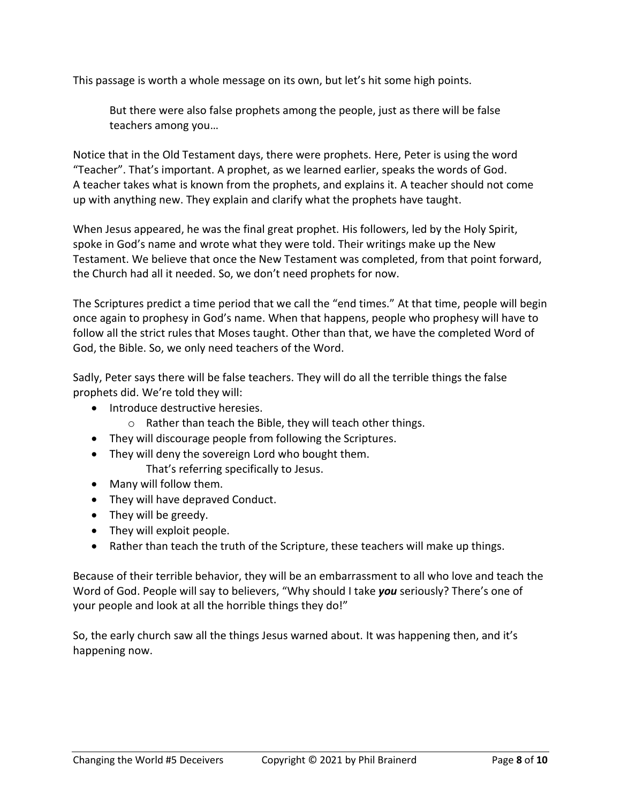This passage is worth a whole message on its own, but let's hit some high points.

But there were also false prophets among the people, just as there will be false teachers among you…

Notice that in the Old Testament days, there were prophets. Here, Peter is using the word "Teacher". That's important. A prophet, as we learned earlier, speaks the words of God. A teacher takes what is known from the prophets, and explains it. A teacher should not come up with anything new. They explain and clarify what the prophets have taught.

When Jesus appeared, he was the final great prophet. His followers, led by the Holy Spirit, spoke in God's name and wrote what they were told. Their writings make up the New Testament. We believe that once the New Testament was completed, from that point forward, the Church had all it needed. So, we don't need prophets for now.

The Scriptures predict a time period that we call the "end times." At that time, people will begin once again to prophesy in God's name. When that happens, people who prophesy will have to follow all the strict rules that Moses taught. Other than that, we have the completed Word of God, the Bible. So, we only need teachers of the Word.

Sadly, Peter says there will be false teachers. They will do all the terrible things the false prophets did. We're told they will:

- Introduce destructive heresies.
	- o Rather than teach the Bible, they will teach other things.
- They will discourage people from following the Scriptures.
- They will deny the sovereign Lord who bought them. That's referring specifically to Jesus.
- Many will follow them.
- They will have depraved Conduct.
- They will be greedy.
- They will exploit people.
- Rather than teach the truth of the Scripture, these teachers will make up things.

Because of their terrible behavior, they will be an embarrassment to all who love and teach the Word of God. People will say to believers, "Why should I take *you* seriously? There's one of your people and look at all the horrible things they do!"

So, the early church saw all the things Jesus warned about. It was happening then, and it's happening now.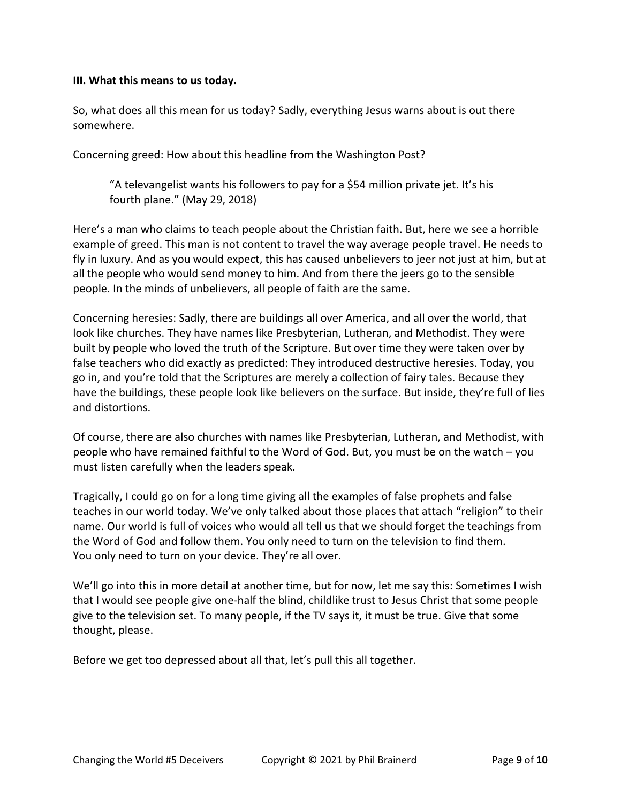#### **III. What this means to us today.**

So, what does all this mean for us today? Sadly, everything Jesus warns about is out there somewhere.

Concerning greed: How about this headline from the Washington Post?

"A televangelist wants his followers to pay for a \$54 million private jet. It's his fourth plane." (May 29, 2018)

Here's a man who claims to teach people about the Christian faith. But, here we see a horrible example of greed. This man is not content to travel the way average people travel. He needs to fly in luxury. And as you would expect, this has caused unbelievers to jeer not just at him, but at all the people who would send money to him. And from there the jeers go to the sensible people. In the minds of unbelievers, all people of faith are the same.

Concerning heresies: Sadly, there are buildings all over America, and all over the world, that look like churches. They have names like Presbyterian, Lutheran, and Methodist. They were built by people who loved the truth of the Scripture. But over time they were taken over by false teachers who did exactly as predicted: They introduced destructive heresies. Today, you go in, and you're told that the Scriptures are merely a collection of fairy tales. Because they have the buildings, these people look like believers on the surface. But inside, they're full of lies and distortions.

Of course, there are also churches with names like Presbyterian, Lutheran, and Methodist, with people who have remained faithful to the Word of God. But, you must be on the watch – you must listen carefully when the leaders speak.

Tragically, I could go on for a long time giving all the examples of false prophets and false teaches in our world today. We've only talked about those places that attach "religion" to their name. Our world is full of voices who would all tell us that we should forget the teachings from the Word of God and follow them. You only need to turn on the television to find them. You only need to turn on your device. They're all over.

We'll go into this in more detail at another time, but for now, let me say this: Sometimes I wish that I would see people give one-half the blind, childlike trust to Jesus Christ that some people give to the television set. To many people, if the TV says it, it must be true. Give that some thought, please.

Before we get too depressed about all that, let's pull this all together.